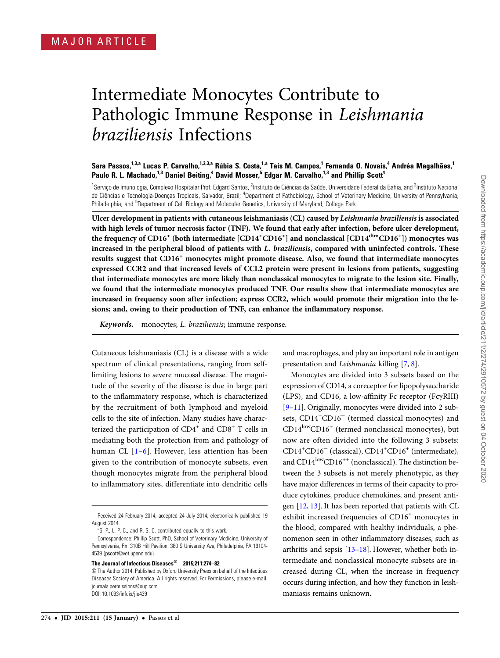# Intermediate Monocytes Contribute to Pathologic Immune Response in Leishmania braziliensis Infections

## Sara Passos,<sup>1,3,a</sup> Lucas P. Carvalho,<sup>1,2,3,a</sup> Rúbia S. Costa,<sup>1,a</sup> Taís M. Campos,<sup>1</sup> Fernanda O. Novais,<sup>4</sup> Andréa Magalhães,<sup>1</sup> Paulo R. L. Machado,<sup>1,3</sup> Daniel Beiting,<sup>4</sup> David Mosser,<sup>5</sup> Edgar M. Carvalho,<sup>1,3</sup> and Phillip Scott<sup>4</sup>

<sup>1</sup>Serviço de Imunologia, Complexo Hospitalar Prof. Edgard Santos, <sup>2</sup>Instituto de Ciências da Saúde, Universidade Federal da Bahia, and <sup>3</sup>Instituto Nacional de Ciências e Tecnologia-Doenças Tropicais, Salvador, Brazil; <sup>4</sup>Department of Pathobiology, School of Veterinary Medicine, University of Pennsylvania, Philadelphia; and <sup>5</sup>Department of Cell Biology and Molecular Genetics, University of Maryland, College Park

Ulcer development in patients with cutaneous leishmaniasis (CL) caused by Leishmania braziliensis is associated with high levels of tumor necrosis factor (TNF). We found that early after infection, before ulcer development, the frequency of CD16 $^+$  (both intermediate [CD14 $^+$ CD16 $^+$ ] and nonclassical [CD14 $^{\dim}$ CD16 $^+$ ]) monocytes was increased in the peripheral blood of patients with L. braziliensis, compared with uninfected controls. These results suggest that CD16<sup>+</sup> monocytes might promote disease. Also, we found that intermediate monocytes expressed CCR2 and that increased levels of CCL2 protein were present in lesions from patients, suggesting that intermediate monocytes are more likely than nonclassical monocytes to migrate to the lesion site. Finally, we found that the intermediate monocytes produced TNF. Our results show that intermediate monocytes are increased in frequency soon after infection; express CCR2, which would promote their migration into the lesions; and, owing to their production of TNF, can enhance the inflammatory response.

Keywords. monocytes; L. braziliensis; immune response.

Cutaneous leishmaniasis (CL) is a disease with a wide spectrum of clinical presentations, ranging from selflimiting lesions to severe mucosal disease. The magnitude of the severity of the disease is due in large part to the inflammatory response, which is characterized by the recruitment of both lymphoid and myeloid cells to the site of infection. Many studies have characterized the participation of  $CD4^+$  and  $CD8^+$  T cells in mediating both the protection from and pathology of human CL [[1](#page-7-0)-[6\]](#page-7-0). However, less attention has been given to the contribution of monocyte subsets, even though monocytes migrate from the peripheral blood to inflammatory sites, differentiate into dendritic cells

and macrophages, and play an important role in antigen presentation and Leishmania killing [\[7,](#page-7-0) [8\]](#page-7-0).

Monocytes are divided into 3 subsets based on the expression of CD14, a coreceptor for lipopolysaccharide (LPS), and CD16, a low-affinity Fc receptor (FcγRIII) [\[9](#page-7-0)–[11\]](#page-7-0). Originally, monocytes were divided into 2 subsets, CD14<sup>+</sup>CD16<sup>-</sup> (termed classical monocytes) and  $CD14^{low}CD16^+$  (termed nonclassical monocytes), but now are often divided into the following 3 subsets: CD14<sup>+</sup>CD16<sup>-</sup> (classical), CD14<sup>+</sup>CD16<sup>+</sup> (intermediate), and CD14<sup>low</sup>CD16<sup>++</sup> (nonclassical). The distinction between the 3 subsets is not merely phenotypic, as they have major differences in terms of their capacity to produce cytokines, produce chemokines, and present antigen [\[12](#page-7-0), [13\]](#page-7-0). It has been reported that patients with CL exhibit increased frequencies of  $CD16<sup>+</sup>$  monocytes in the blood, compared with healthy individuals, a phenomenon seen in other inflammatory diseases, such as arthritis and sepsis [[13](#page-7-0)–[18](#page-7-0)]. However, whether both intermediate and nonclassical monocyte subsets are increased during CL, when the increase in frequency occurs during infection, and how they function in leishmaniasis remains unknown.

Received 24 February 2014; accepted 24 July 2014; electronically published 19 August 2014.

<sup>&</sup>lt;sup>a</sup>S. P., L. P. C., and R. S. C. contributed equally to this work.

Correspondence: Phillip Scott, PhD, School of Veterinary Medicine, University of Pennsylvania, Rm 310B Hill Pavilion, 380 S University Ave, Philadelphia, PA 19104- 4539 [\(pscott@vet.upenn.edu](mailto:pscott@vet.upenn.edu)).

The Journal of Infectious Diseases® 2015;211:274–82

<sup>©</sup> The Author 2014. Published by Oxford University Press on behalf of the Infectious Diseases Society of America. All rights reserved. For Permissions, please e-mail: [journals.permissions@oup.com](mailto:journals.permissions@oup.com). DOI: 10.1093/infdis/jiu439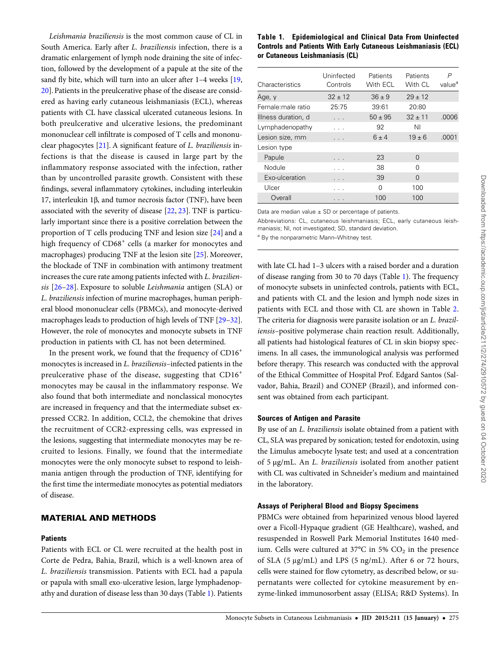Leishmania braziliensis is the most common cause of CL in South America. Early after L. braziliensis infection, there is a dramatic enlargement of lymph node draining the site of infection, followed by the development of a papule at the site of the sand fly bite, which will turn into an ulcer after 1-4 weeks [[19,](#page-7-0) [20](#page-7-0)]. Patients in the preulcerative phase of the disease are considered as having early cutaneous leishmaniasis (ECL), whereas patients with CL have classical ulcerated cutaneous lesions. In both preulcerative and ulcerative lesions, the predominant mononuclear cell infiltrate is composed of T cells and mononuclear phagocytes [\[21](#page-7-0)]. A significant feature of L. braziliensis infections is that the disease is caused in large part by the inflammatory response associated with the infection, rather than by uncontrolled parasite growth. Consistent with these findings, several inflammatory cytokines, including interleukin 17, interleukin 1β, and tumor necrosis factor (TNF), have been associated with the severity of disease [\[22,](#page-7-0) [23\]](#page-7-0). TNF is particularly important since there is a positive correlation between the proportion of T cells producing TNF and lesion size [[24\]](#page-7-0) and a high frequency of CD68<sup>+</sup> cells (a marker for monocytes and macrophages) producing TNF at the lesion site [\[25](#page-7-0)]. Moreover, the blockade of TNF in combination with antimony treatment increases the cure rate among patients infected with L. braziliensis [\[26](#page-7-0)–[28\]](#page-8-0). Exposure to soluble Leishmania antigen (SLA) or L. braziliensis infection of murine macrophages, human peripheral blood mononuclear cells (PBMCs), and monocyte-derived macrophages leads to production of high levels of TNF [\[29](#page-8-0)–[32\]](#page-8-0). However, the role of monocytes and monocyte subsets in TNF production in patients with CL has not been determined.

In the present work, we found that the frequency of  $CD16<sup>+</sup>$ monocytes is increased in L. braziliensis–infected patients in the preulcerative phase of the disease, suggesting that CD16<sup>+</sup> monocytes may be causal in the inflammatory response. We also found that both intermediate and nonclassical monocytes are increased in frequency and that the intermediate subset expressed CCR2. In addition, CCL2, the chemokine that drives the recruitment of CCR2-expressing cells, was expressed in the lesions, suggesting that intermediate monocytes may be recruited to lesions. Finally, we found that the intermediate monocytes were the only monocyte subset to respond to leishmania antigen through the production of TNF, identifying for the first time the intermediate monocytes as potential mediators of disease.

## MATERIAL AND METHODS

#### **Patients**

Patients with ECL or CL were recruited at the health post in Corte de Pedra, Bahia, Brazil, which is a well-known area of L. braziliensis transmission. Patients with ECL had a papula or papula with small exo-ulcerative lesion, large lymphadenopathy and duration of disease less than 30 days (Table 1). Patients

#### Table 1. Epidemiological and Clinical Data From Uninfected Controls and Patients With Early Cutaneous Leishmaniasis (ECL) or Cutaneous Leishmaniasis (CL)

| Characteristics     | Uninfected<br>Controls | Patients<br>With ECL | Patients<br>With CL | P<br>value <sup>a</sup> |
|---------------------|------------------------|----------------------|---------------------|-------------------------|
|                     |                        |                      |                     |                         |
| Age, y              | $32 + 12$              | $36 \pm 9$           | $29 \pm 12$         |                         |
| Female:male ratio   | 25:75                  | 39:61                | 20:80               |                         |
| Illness duration, d |                        | $50 \pm 95$          | $32 \pm 11$         | .0006                   |
| Lymphadenopathy     |                        | 92                   | ΝI                  |                         |
| Lesion size, mm     |                        | $6 \pm 4$            | $19 \pm 6$          | .0001                   |
| Lesion type         |                        |                      |                     |                         |
| Papule              |                        | 23                   | $\Omega$            |                         |
| Nodule              |                        | 38                   | 0                   |                         |
| Exo-ulceration      |                        | 39                   | $\Omega$            |                         |
| Ulcer               |                        | 0                    | 100                 |                         |
| Overall             |                        | 100                  | 100                 |                         |

Data are median value  $\pm$  SD or percentage of patients.

Abbreviations: CL, cutaneous leishmaniasis; ECL, early cutaneous leishmaniasis; NI, not investigated; SD, standard deviation.

a By the nonparametric Mann–Whitney test.

with late CL had 1–3 ulcers with a raised border and a duration of disease ranging from 30 to 70 days (Table 1). The frequency of monocyte subsets in uninfected controls, patients with ECL, and patients with CL and the lesion and lymph node sizes in patients with ECL and those with CL are shown in Table [2.](#page-2-0) The criteria for diagnosis were parasite isolation or an L. braziliensis–positive polymerase chain reaction result. Additionally, all patients had histological features of CL in skin biopsy specimens. In all cases, the immunological analysis was performed before therapy. This research was conducted with the approval of the Ethical Committee of Hospital Prof. Edgard Santos (Salvador, Bahia, Brazil) and CONEP (Brazil), and informed consent was obtained from each participant.

#### Sources of Antigen and Parasite

By use of an L. braziliensis isolate obtained from a patient with CL, SLA was prepared by sonication; tested for endotoxin, using the Limulus amebocyte lysate test; and used at a concentration of 5 µg/mL. An L. braziliensis isolated from another patient with CL was cultivated in Schneider's medium and maintained in the laboratory.

#### Assays of Peripheral Blood and Biopsy Specimens

PBMCs were obtained from heparinized venous blood layered over a Ficoll-Hypaque gradient (GE Healthcare), washed, and resuspended in Roswell Park Memorial Institutes 1640 medium. Cells were cultured at  $37^{\circ}$ C in  $5\%$  CO<sub>2</sub> in the presence of SLA (5 μg/mL) and LPS (5 ng/mL). After 6 or 72 hours, cells were stained for flow cytometry, as described below, or supernatants were collected for cytokine measurement by enzyme-linked immunosorbent assay (ELISA; R&D Systems). In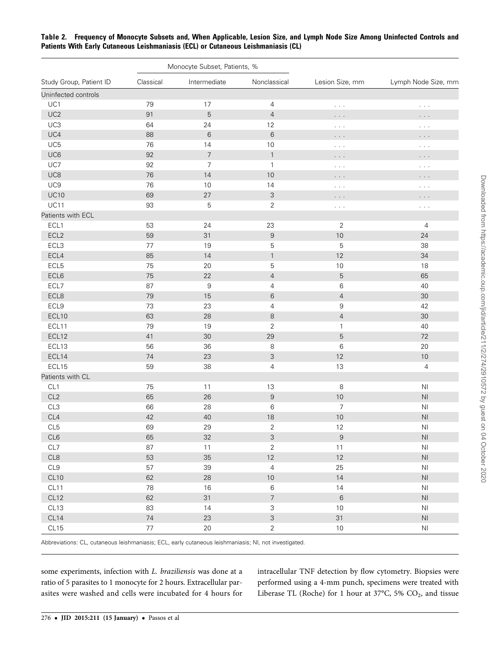|                         | Monocyte Subset, Patients, % |                |                  |                      |                                |
|-------------------------|------------------------------|----------------|------------------|----------------------|--------------------------------|
| Study Group, Patient ID | Classical                    | Intermediate   | Nonclassical     | Lesion Size, mm      | Lymph Node Size, mm            |
| Uninfected controls     |                              |                |                  |                      |                                |
| UC1                     | 79                           | 17             | 4                | $\cdots$             | $\alpha$ , $\alpha$ , $\alpha$ |
| UC <sub>2</sub>         | 91                           | 5              | $\overline{4}$   | .                    | .                              |
| UC3                     | 64                           | 24             | 12               | $\cdots$             | $\alpha$ , $\alpha$ , $\alpha$ |
| UC4                     | 88                           | $\,6$          | 6                | .                    | .                              |
| UC <sub>5</sub>         | 76                           | 14             | 10               | $\sim$ $\sim$ $\sim$ | $\alpha$ , $\alpha$ , $\alpha$ |
| UC6                     | 92                           | $\overline{7}$ | $\mathbf{1}$     | .                    | .                              |
| UC7                     | 92                           | 7              | $\mathbf{1}$     | $\sim$ $\sim$ $\sim$ | $\alpha$ , $\alpha$ , $\alpha$ |
| UC8                     | 76                           | 14             | 10               | .                    | .                              |
| UC9                     | 76                           | 10             | 14               | $\cdots$             | $\sim$ $\sim$ $\sim$           |
| <b>UC10</b>             | 69                           | $27\,$         | 3                | .                    | .                              |
| <b>UC11</b>             | 93                           | 5              | 2                | $\sim$ $\sim$ $\sim$ | $\alpha$ , $\alpha$ , $\alpha$ |
| Patients with ECL       |                              |                |                  |                      |                                |
| ECL1                    | 53                           | 24             | 23               | $\overline{2}$       | 4                              |
| ECL <sub>2</sub>        | 59                           | 31             | $\boldsymbol{9}$ | 10                   | 24                             |
| ECL3                    | 77                           | 19             | 5                | 5                    | 38                             |
| ECL4                    | 85                           | 14             | $\mathbf{1}$     | 12                   | 34                             |
| ECL <sub>5</sub>        | 75                           | 20             | 5                | 10                   | 18                             |
| ECL6                    | 75                           | $22\,$         | $\overline{4}$   | 5                    | 65                             |
| ECL7                    | 87                           | 9              | 4                | 6                    | 40                             |
| ECL8                    | 79                           | 15             | 6                | $\overline{4}$       | 30                             |
| ECL9                    | 73                           | 23             | 4                | $\boldsymbol{9}$     | 42                             |
| ECL10                   | 63                           | 28             | 8                | $\overline{4}$       | 30                             |
| ECL11                   | 79                           | 19             | $\overline{2}$   | $\mathbf{1}$         | 40                             |
| ECL12                   | 41                           | 30             | 29               | $\mathbf 5$          | 72                             |
| ECL13                   | 56                           | 36             | 8                | 6                    | 20                             |
| ECL14                   | 74                           | 23             | 3                | 12                   | 10                             |
| ECL15                   | 59                           | 38             | 4                | 13                   | 4                              |
| Patients with CL        |                              |                |                  |                      |                                |
| CL1                     | 75                           | 11             | 13               | $\,8\,$              | N <sub>1</sub>                 |
| CL2                     | 65                           | $26\,$         | $\boldsymbol{9}$ | $10$                 | $\mathsf{N}\mathsf{I}$         |
| CL3                     | 66                           | 28             | 6                | 7                    | N <sub>1</sub>                 |
| CL4                     | 42                           | 40             | 18               | 10                   | $\mathsf{N}\mathsf{I}$         |
| CL <sub>5</sub>         | 69                           | 29             | $\overline{2}$   | 12                   | N <sub>l</sub>                 |
| CL6                     | 65                           | $32\,$         | 3                | $\boldsymbol{9}$     | $\mathsf{N}\mathsf{I}$         |
| CL7                     | 87                           | 11             | $\overline{2}$   | 11                   | N <sub>l</sub>                 |
| CL8                     | 53                           | 35             | 12               | 12                   | $\mathsf{N}\mathsf{I}$         |
| CL9                     | 57                           | 39             | $\overline{4}$   | 25                   | N <sub>l</sub>                 |
| CL10                    | 62                           | 28             | 10               | 14                   | $\mathsf{N}\mathsf{I}$         |
| CL11                    | 78                           | 16             | $6\,$            | 14                   | N <sub>l</sub>                 |
| CL12                    | 62                           | 31             | $\overline{7}$   | $\,6\,$              | $\mathsf{N}\mathsf{I}$         |
| CL13                    | 83                           | 14             | 3                | $10\,$               | N <sub>l</sub>                 |
| CL14                    | $74$                         | 23             | $\mathfrak{S}$   | 31                   | $\mathsf{N}\mathsf{I}$         |
| CL15                    | $77 \,$                      | $20\,$         | $\overline{2}$   | $10$                 | N <sub>l</sub>                 |

<span id="page-2-0"></span>Table 2. Frequency of Monocyte Subsets and, When Applicable, Lesion Size, and Lymph Node Size Among Uninfected Controls and Patients With Early Cutaneous Leishmaniasis (ECL) or Cutaneous Leishmaniasis (CL)

Abbreviations: CL, cutaneous leishmaniasis; ECL, early cutaneous leishmaniasis; NI, not investigated.

some experiments, infection with L. braziliensis was done at a ratio of 5 parasites to 1 monocyte for 2 hours. Extracellular parasites were washed and cells were incubated for 4 hours for

intracellular TNF detection by flow cytometry. Biopsies were performed using a 4-mm punch, specimens were treated with Liberase TL (Roche) for 1 hour at 37°C, 5%  $CO<sub>2</sub>$ , and tissue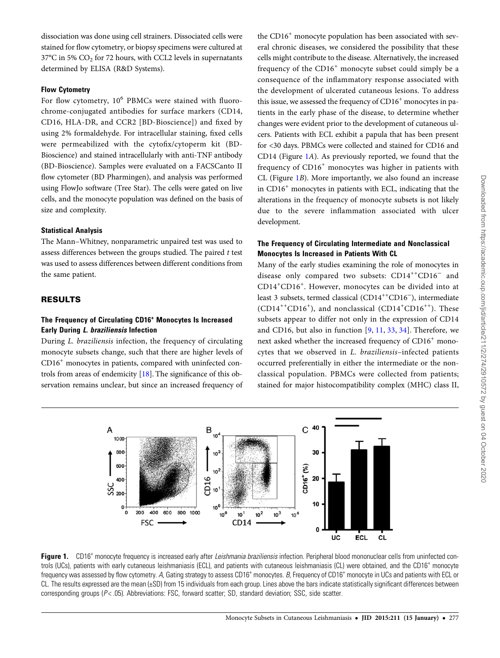dissociation was done using cell strainers. Dissociated cells were stained for flow cytometry, or biopsy specimens were cultured at  $37^{\circ}$ C in 5%  $CO_2$  for 72 hours, with CCL2 levels in supernatants determined by ELISA (R&D Systems).

## Flow Cytometry

For flow cytometry,  $10^6$  PBMCs were stained with fluorochrome-conjugated antibodies for surface markers (CD14, CD16, HLA-DR, and CCR2 [BD-Bioscience]) and fixed by using 2% formaldehyde. For intracellular staining, fixed cells were permeabilized with the cytofix/cytoperm kit (BD-Bioscience) and stained intracellularly with anti-TNF antibody (BD-Bioscience). Samples were evaluated on a FACSCanto II flow cytometer (BD Pharmingen), and analysis was performed using FlowJo software (Tree Star). The cells were gated on live cells, and the monocyte population was defined on the basis of size and complexity.

## Statistical Analysis

The Mann–Whitney, nonparametric unpaired test was used to assess differences between the groups studied. The paired  $t$  test was used to assess differences between different conditions from the same patient.

## RESULTS

## The Frequency of Circulating CD16<sup>+</sup> Monocytes Is Increased Early During L. braziliensis Infection

During L. braziliensis infection, the frequency of circulating monocyte subsets change, such that there are higher levels of CD16<sup>+</sup> monocytes in patients, compared with uninfected controls from areas of endemicity [\[18\]](#page-7-0). The significance of this observation remains unclear, but since an increased frequency of

the CD16<sup>+</sup> monocyte population has been associated with several chronic diseases, we considered the possibility that these cells might contribute to the disease. Alternatively, the increased frequency of the  $CD16<sup>+</sup>$  monocyte subset could simply be a consequence of the inflammatory response associated with the development of ulcerated cutaneous lesions. To address this issue, we assessed the frequency of  $CD16<sup>+</sup>$  monocytes in patients in the early phase of the disease, to determine whether changes were evident prior to the development of cutaneous ulcers. Patients with ECL exhibit a papula that has been present for <30 days. PBMCs were collected and stained for CD16 and CD14 (Figure 1A). As previously reported, we found that the frequency of CD16<sup>+</sup> monocytes was higher in patients with CL (Figure 1B). More importantly, we also found an increase in CD16<sup>+</sup> monocytes in patients with ECL, indicating that the alterations in the frequency of monocyte subsets is not likely due to the severe inflammation associated with ulcer development.

#### The Frequency of Circulating Intermediate and Nonclassical Monocytes Is Increased in Patients With CL

Many of the early studies examining the role of monocytes in disease only compared two subsets: CD14++CD16<sup>−</sup> and CD14<sup>+</sup> CD16<sup>+</sup> . However, monocytes can be divided into at least 3 subsets, termed classical (CD14++CD16<sup>−</sup>), intermediate (CD14<sup>++</sup>CD16<sup>+</sup>), and nonclassical (CD14<sup>+</sup>CD16<sup>++</sup>). These subsets appear to differ not only in the expression of CD14 and CD16, but also in function [[9,](#page-7-0) [11](#page-7-0), [33](#page-8-0), [34](#page-8-0)]. Therefore, we next asked whether the increased frequency of CD16<sup>+</sup> monocytes that we observed in L. braziliensis–infected patients occurred preferentially in either the intermediate or the nonclassical population. PBMCs were collected from patients; stained for major histocompatibility complex (MHC) class II,



Figure 1. CD16<sup>+</sup> monocyte frequency is increased early after Leishmania braziliensis infection. Peripheral blood mononuclear cells from uninfected controls (UCs), patients with early cutaneous leishmaniasis (ECL), and patients with cutaneous leishmaniasis (CL) were obtained, and the CD16<sup>+</sup> monocyte frequency was assessed by flow cytometry. A, Gating strategy to assess CD16<sup>+</sup> monocytes. B, Frequency of CD16<sup>+</sup> monocyte in UCs and patients with ECL or CL. The results expressed are the mean (±SD) from 15 individuals from each group. Lines above the bars indicate statistically significant differences between corresponding groups (P< .05). Abbreviations: FSC, forward scatter; SD, standard deviation; SSC, side scatter.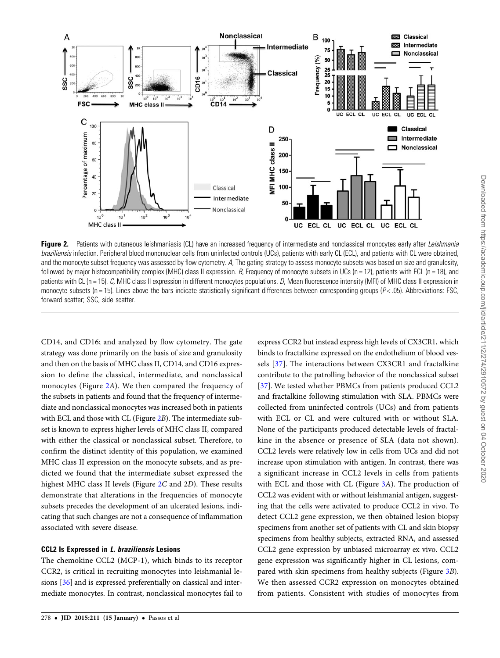



Figure 2. Patients with cutaneous leishmaniasis (CL) have an increased frequency of intermediate and nonclassical monocytes early after Leishmania braziliensis infection. Peripheral blood mononuclear cells from uninfected controls (UCs), patients with early CL (ECL), and patients with CL were obtained, and the monocyte subset frequency was assessed by flow cytometry. A, The gating strategy to assess monocyte subsets was based on size and granulosity, followed by major histocompatibility complex (MHC) class II expression. B, Frequency of monocyte subsets in UCs (n = 12), patients with ECL (n = 18), and patients with CL (n = 15). C, MHC class II expression in different monocytes populations. D, Mean fluorescence intensity (MFI) of MHC class II expression in monocyte subsets (n = 15). Lines above the bars indicate statistically significant differences between corresponding groups ( $P <$  05). Abbreviations: FSC, forward scatter; SSC, side scatter.

CD14, and CD16; and analyzed by flow cytometry. The gate strategy was done primarily on the basis of size and granulosity and then on the basis of MHC class II, CD14, and CD16 expression to define the classical, intermediate, and nonclassical monocytes (Figure 2A). We then compared the frequency of the subsets in patients and found that the frequency of intermediate and nonclassical monocytes was increased both in patients with ECL and those with CL (Figure 2B). The intermediate subset is known to express higher levels of MHC class II, compared with either the classical or nonclassical subset. Therefore, to confirm the distinct identity of this population, we examined MHC class II expression on the monocyte subsets, and as predicted we found that the intermediate subset expressed the highest MHC class II levels (Figure 2C and 2D). These results demonstrate that alterations in the frequencies of monocyte subsets precedes the development of an ulcerated lesions, indicating that such changes are not a consequence of inflammation associated with severe disease.

#### CCL2 Is Expressed in L. braziliensis Lesions

The chemokine CCL2 (MCP-1), which binds to its receptor CCR2, is critical in recruiting monocytes into leishmanial lesions [\[36](#page-8-0)] and is expressed preferentially on classical and intermediate monocytes. In contrast, nonclassical monocytes fail to

express CCR2 but instead express high levels of CX3CR1, which binds to fractalkine expressed on the endothelium of blood vessels [[37](#page-8-0)]. The interactions between CX3CR1 and fractalkine contribute to the patrolling behavior of the nonclassical subset [\[37](#page-8-0)]. We tested whether PBMCs from patients produced CCL2 and fractalkine following stimulation with SLA. PBMCs were collected from uninfected controls (UCs) and from patients with ECL or CL and were cultured with or without SLA. None of the participants produced detectable levels of fractalkine in the absence or presence of SLA (data not shown). CCL2 levels were relatively low in cells from UCs and did not increase upon stimulation with antigen. In contrast, there was a significant increase in CCL2 levels in cells from patients with ECL and those with CL (Figure [3](#page-5-0)A). The production of CCL2 was evident with or without leishmanial antigen, suggesting that the cells were activated to produce CCL2 in vivo. To detect CCL2 gene expression, we then obtained lesion biopsy specimens from another set of patients with CL and skin biopsy specimens from healthy subjects, extracted RNA, and assessed CCL2 gene expression by unbiased microarray ex vivo. CCL2 gene expression was significantly higher in CL lesions, compared with skin specimens from healthy subjects (Figure [3](#page-5-0)B). We then assessed CCR2 expression on monocytes obtained from patients. Consistent with studies of monocytes from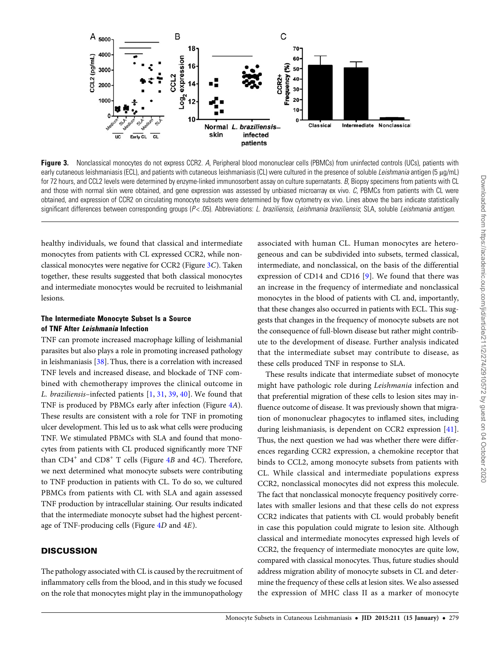<span id="page-5-0"></span>

Figure 3. Nonclassical monocytes do not express CCR2. A, Peripheral blood mononuclear cells (PBMCs) from uninfected controls (UCs), patients with early cutaneous leishmaniasis (ECL), and patients with cutaneous leishmaniasis (CL) were cultured in the presence of soluble Leishmania antigen (5 μg/mL) for 72 hours, and CCL2 levels were determined by enzyme-linked immunosorbent assay on culture supernatants. B, Biopsy specimens from patients with CL and those with normal skin were obtained, and gene expression was assessed by unbiased microarray ex vivo. C, PBMCs from patients with CL were obtained, and expression of CCR2 on circulating monocyte subsets were determined by flow cytometry ex vivo. Lines above the bars indicate statistically significant differences between corresponding groups (P<.05). Abbreviations: L. braziliensis, Leishmania braziliensis; SLA, soluble Leishmania antigen.

healthy individuals, we found that classical and intermediate monocytes from patients with CL expressed CCR2, while nonclassical monocytes were negative for CCR2 (Figure 3C). Taken together, these results suggested that both classical monocytes and intermediate monocytes would be recruited to leishmanial lesions.

## The Intermediate Monocyte Subset Is a Source of TNF After Leishmania Infection

TNF can promote increased macrophage killing of leishmanial parasites but also plays a role in promoting increased pathology in leishmaniasis [[38\]](#page-8-0). Thus, there is a correlation with increased TNF levels and increased disease, and blockade of TNF combined with chemotherapy improves the clinical outcome in L. braziliensis–infected patients [\[1,](#page-7-0) [31,](#page-8-0) [39](#page-8-0), [40](#page-8-0)]. We found that TNF is produced by PBMCs early after infection (Figure [4](#page-6-0)A). These results are consistent with a role for TNF in promoting ulcer development. This led us to ask what cells were producing TNF. We stimulated PBMCs with SLA and found that monocytes from patients with CL produced significantly more TNF than  $CD4^+$  $CD4^+$  $CD4^+$  and  $CD8^+$  T cells (Figure 4B and 4C). Therefore, we next determined what monocyte subsets were contributing to TNF production in patients with CL. To do so, we cultured PBMCs from patients with CL with SLA and again assessed TNF production by intracellular staining. Our results indicated that the intermediate monocyte subset had the highest percentage of TNF-producing cells (Figure [4](#page-6-0)D and 4E).

## **DISCUSSION**

The pathology associated with CL is caused by the recruitment of inflammatory cells from the blood, and in this study we focused on the role that monocytes might play in the immunopathology

associated with human CL. Human monocytes are heterogeneous and can be subdivided into subsets, termed classical, intermediate, and nonclassical, on the basis of the differential expression of CD14 and CD16 [[9\]](#page-7-0). We found that there was an increase in the frequency of intermediate and nonclassical monocytes in the blood of patients with CL and, importantly, that these changes also occurred in patients with ECL. This suggests that changes in the frequency of monocyte subsets are not the consequence of full-blown disease but rather might contribute to the development of disease. Further analysis indicated that the intermediate subset may contribute to disease, as these cells produced TNF in response to SLA.

These results indicate that intermediate subset of monocyte might have pathologic role during Leishmania infection and that preferential migration of these cells to lesion sites may influence outcome of disease. It was previously shown that migration of mononuclear phagocytes to inflamed sites, including during leishmaniasis, is dependent on CCR2 expression [\[41](#page-8-0)]. Thus, the next question we had was whether there were differences regarding CCR2 expression, a chemokine receptor that binds to CCL2, among monocyte subsets from patients with CL. While classical and intermediate populations express CCR2, nonclassical monocytes did not express this molecule. The fact that nonclassical monocyte frequency positively correlates with smaller lesions and that these cells do not express CCR2 indicates that patients with CL would probably benefit in case this population could migrate to lesion site. Although classical and intermediate monocytes expressed high levels of CCR2, the frequency of intermediate monocytes are quite low, compared with classical monocytes. Thus, future studies should address migration ability of monocyte subsets in CL and determine the frequency of these cells at lesion sites. We also assessed the expression of MHC class II as a marker of monocyte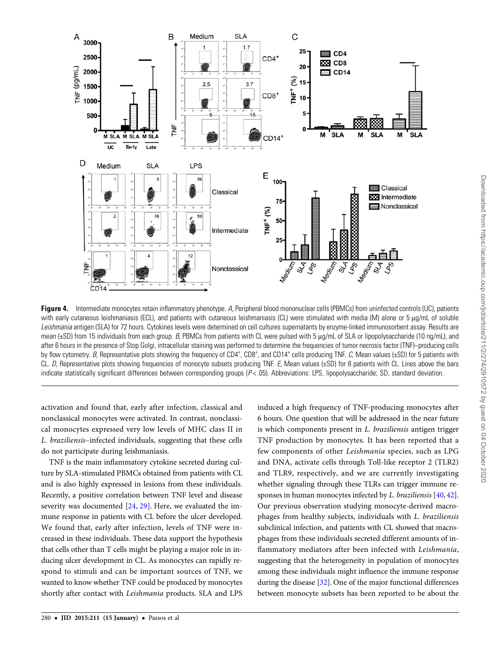<span id="page-6-0"></span>

**Figure 4.** Intermediate monocytes retain inflammatory phenotype. A, Peripheral blood mononuclear cells (PBMCs) from uninfected controls (UC), patients with early cutaneous leishmaniasis (ECL), and patients with cutaneous leishmaniasis (CL) were stimulated with media (M) alone or 5 μg/mL of soluble Leishmania antigen (SLA) for 72 hours. Cytokines levels were determined on cell cultures supernatants by enzyme-linked immunosorbent assay. Results are mean (±SD) from 15 individuals from each group. B, PBMCs from patients with CL were pulsed with 5 μg/mL of SLA or lipopolysaccharide (10 ng/mL), and after 6 hours in the presence of Stop Golgi, intracellular staining was performed to determine the frequencies of tumor necrosis factor (TNF)–producing cells by flow cytometry. B, Representative plots showing the frequency of CD4<sup>+</sup>, CD8<sup>+</sup>, and CD14<sup>+</sup> cells producing TNF. C, Mean values (±SD) for 5 patients with<br>CL D, Benresentative plots showing frequencies of monocyte subse CL. D, Representative plots showing frequencies of monocyte subsets producing TNF. E, Mean values (±SD) for 8 patients with CL. Lines above the bars indicate statistically significant differences between corresponding groups (P< .05). Abbreviations: LPS, lipopolysaccharide; SD, standard deviation.

activation and found that, early after infection, classical and nonclassical monocytes were activated. In contrast, nonclassical monocytes expressed very low levels of MHC class II in L. braziliensis–infected individuals, suggesting that these cells do not participate during leishmaniasis.

TNF is the main inflammatory cytokine secreted during culture by SLA-stimulated PBMCs obtained from patients with CL and is also highly expressed in lesions from these individuals. Recently, a positive correlation between TNF level and disease severity was documented [\[24](#page-7-0), [29](#page-8-0)]. Here, we evaluated the immune response in patients with CL before the ulcer developed. We found that, early after infection, levels of TNF were increased in these individuals. These data support the hypothesis that cells other than T cells might be playing a major role in inducing ulcer development in CL. As monocytes can rapidly respond to stimuli and can be important sources of TNF, we wanted to know whether TNF could be produced by monocytes shortly after contact with Leishmania products. SLA and LPS induced a high frequency of TNF-producing monocytes after 6 hours. One question that will be addressed in the near future is which components present in L. braziliensis antigen trigger TNF production by monocytes. It has been reported that a few components of other Leishmania species, such as LPG and DNA, activate cells through Toll-like receptor 2 (TLR2) and TLR9, respectively, and we are currently investigating whether signaling through these TLRs can trigger immune responses in human monocytes infected by L. braziliensis [\[40](#page-8-0), [42\]](#page-8-0). Our previous observation studying monocyte-derived macrophages from healthy subjects, individuals with L. braziliensis subclinical infection, and patients with CL showed that macrophages from these individuals secreted different amounts of inflammatory mediators after been infected with Leishmania, suggesting that the heterogeneity in population of monocytes among these individuals might influence the immune response during the disease [[32\]](#page-8-0). One of the major functional differences between monocyte subsets has been reported to be about the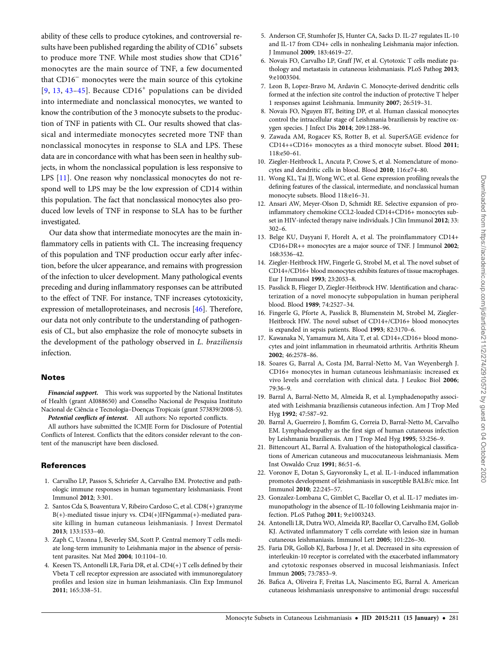<span id="page-7-0"></span>ability of these cells to produce cytokines, and controversial results have been published regarding the ability of CD16<sup>+</sup> subsets to produce more TNF. While most studies show that CD16<sup>+</sup> monocytes are the main source of TNF, a few documented that CD16<sup>−</sup> monocytes were the main source of this cytokine [9, 13, [43](#page-8-0)-[45\]](#page-8-0). Because  $CD16<sup>+</sup>$  populations can be divided into intermediate and nonclassical monocytes, we wanted to know the contribution of the 3 monocyte subsets to the production of TNF in patients with CL. Our results showed that classical and intermediate monocytes secreted more TNF than nonclassical monocytes in response to SLA and LPS. These data are in concordance with what has been seen in healthy subjects, in whom the nonclassical population is less responsive to LPS [11]. One reason why nonclassical monocytes do not respond well to LPS may be the low expression of CD14 within this population. The fact that nonclassical monocytes also produced low levels of TNF in response to SLA has to be further investigated.

Our data show that intermediate monocytes are the main inflammatory cells in patients with CL. The increasing frequency of this population and TNF production occur early after infection, before the ulcer appearance, and remains with progression of the infection to ulcer development. Many pathological events preceding and during inflammatory responses can be attributed to the effect of TNF. For instance, TNF increases cytotoxicity, expression of metalloproteinases, and necrosis [[46\]](#page-8-0). Therefore, our data not only contribute to the understanding of pathogenesis of CL, but also emphasize the role of monocyte subsets in the development of the pathology observed in L. braziliensis infection.

#### Notes

Financial support. This work was supported by the National Institutes of Health (grant AI088650) and Conselho Nacional de Pesquisa Instituto Nacional de Ciência e Tecnologia–Doenças Tropicais (grant 573839/2008-5). Potential conflicts of interest. All authors: No reported conflicts.

All authors have submitted the ICMJE Form for Disclosure of Potential Conflicts of Interest. Conflicts that the editors consider relevant to the content of the manuscript have been disclosed.

#### References

- 1. Carvalho LP, Passos S, Schriefer A, Carvalho EM. Protective and pathologic immune responses in human tegumentary leishmaniasis. Front Immunol 2012; 3:301.
- 2. Santos Cda S, Boaventura V, Ribeiro Cardoso C, et al. CD8(+) granzyme B(+)-mediated tissue injury vs. CD4(+)IFNgamma(+)-mediated parasite killing in human cutaneous leishmaniasis. J Invest Dermatol 2013; 133:1533–40.
- 3. Zaph C, Uzonna J, Beverley SM, Scott P. Central memory T cells mediate long-term immunity to Leishmania major in the absence of persistent parasites. Nat Med 2004; 10:1104–10.
- 4. Keesen TS, Antonelli LR, Faria DR, et al. CD4(+) T cells defined by their Vbeta T cell receptor expression are associated with immunoregulatory profiles and lesion size in human leishmaniasis. Clin Exp Immunol 2011; 165:338–51.
- 5. Anderson CF, Stumhofer JS, Hunter CA, Sacks D. IL-27 regulates IL-10 and IL-17 from CD4+ cells in nonhealing Leishmania major infection. J Immunol 2009; 183:4619–27.
- 6. Novais FO, Carvalho LP, Graff JW, et al. Cytotoxic T cells mediate pathology and metastasis in cutaneous leishmaniasis. PLoS Pathog 2013; 9:e1003504.
- 7. Leon B, Lopez-Bravo M, Ardavin C. Monocyte-derived dendritic cells formed at the infection site control the induction of protective T helper 1 responses against Leishmania. Immunity 2007; 26:519–31.
- 8. Novais FO, Nguyen BT, Beiting DP, et al. Human classical monocytes control the intracellular stage of Leishmania braziliensis by reactive oxygen species. J Infect Dis 2014; 209:1288–96.
- 9. Zawada AM, Rogacev KS, Rotter B, et al. SuperSAGE evidence for CD14++CD16+ monocytes as a third monocyte subset. Blood 2011; 118:e50–61.
- 10. Ziegler-Heitbrock L, Ancuta P, Crowe S, et al. Nomenclature of monocytes and dendritic cells in blood. Blood 2010; 116:e74–80.
- 11. Wong KL, Tai JJ, Wong WC, et al. Gene expression profiling reveals the defining features of the classical, intermediate, and nonclassical human monocyte subsets. Blood 118:e16–31.
- 12. Ansari AW, Meyer-Olson D, Schmidt RE. Selective expansion of proinflammatory chemokine CCL2-loaded CD14+CD16+ monocytes subset in HIV-infected therapy naive individuals. J Clin Immunol 2012; 33: 302–6.
- 13. Belge KU, Dayyani F, Horelt A, et al. The proinflammatory CD14+ CD16+DR++ monocytes are a major source of TNF. J Immunol 2002; 168:3536–42.
- 14. Ziegler-Heitbrock HW, Fingerle G, Strobel M, et al. The novel subset of CD14+/CD16+ blood monocytes exhibits features of tissue macrophages. Eur J Immunol 1993; 23:2053–8.
- 15. Passlick B, Flieger D, Ziegler-Heitbrock HW. Identification and characterization of a novel monocyte subpopulation in human peripheral blood. Blood 1989; 74:2527–34.
- 16. Fingerle G, Pforte A, Passlick B, Blumenstein M, Strobel M, Ziegler-Heitbrock HW. The novel subset of CD14+/CD16+ blood monocytes is expanded in sepsis patients. Blood 1993; 82:3170–6.
- 17. Kawanaka N, Yamamura M, Aita T, et al. CD14+,CD16+ blood monocytes and joint inflammation in rheumatoid arthritis. Arthritis Rheum 2002; 46:2578–86.
- 18. Soares G, Barral A, Costa JM, Barral-Netto M, Van Weyenbergh J. CD16+ monocytes in human cutaneous leishmaniasis: increased ex vivo levels and correlation with clinical data. J Leukoc Biol 2006; 79:36–9.
- 19. Barral A, Barral-Netto M, Almeida R, et al. Lymphadenopathy associated with Leishmania braziliensis cutaneous infection. Am J Trop Med Hyg 1992; 47:587–92.
- 20. Barral A, Guerreiro J, Bomfim G, Correia D, Barral-Netto M, Carvalho EM. Lymphadenopathy as the first sign of human cutaneous infection by Leishmania braziliensis. Am J Trop Med Hyg 1995; 53:256–9.
- 21. Bittencourt AL, Barral A. Evaluation of the histopathological classifications of American cutaneous and mucocutaneous leishmaniasis. Mem Inst Oswaldo Cruz 1991; 86:51–6.
- 22. Voronov E, Dotan S, Gayvoronsky L, et al. IL-1-induced inflammation promotes development of leishmaniasis in susceptible BALB/c mice. Int Immunol 2010; 22:245–57.
- 23. Gonzalez-Lombana C, Gimblet C, Bacellar O, et al. IL-17 mediates immunopathology in the absence of IL-10 following Leishmania major infection. PLoS Pathog 2011; 9:e1003243.
- 24. Antonelli LR, Dutra WO, Almeida RP, Bacellar O, Carvalho EM, Gollob KJ. Activated inflammatory T cells correlate with lesion size in human cutaneous leishmaniasis. Immunol Lett 2005; 101:226–30.
- 25. Faria DR, Gollob KJ, Barbosa J Jr, et al. Decreased in situ expression of interleukin-10 receptor is correlated with the exacerbated inflammatory and cytotoxic responses observed in mucosal leishmaniasis. Infect Immun 2005; 73:7853–9.
- 26. Bafica A, Oliveira F, Freitas LA, Nascimento EG, Barral A. American cutaneous leishmaniasis unresponsive to antimonial drugs: successful